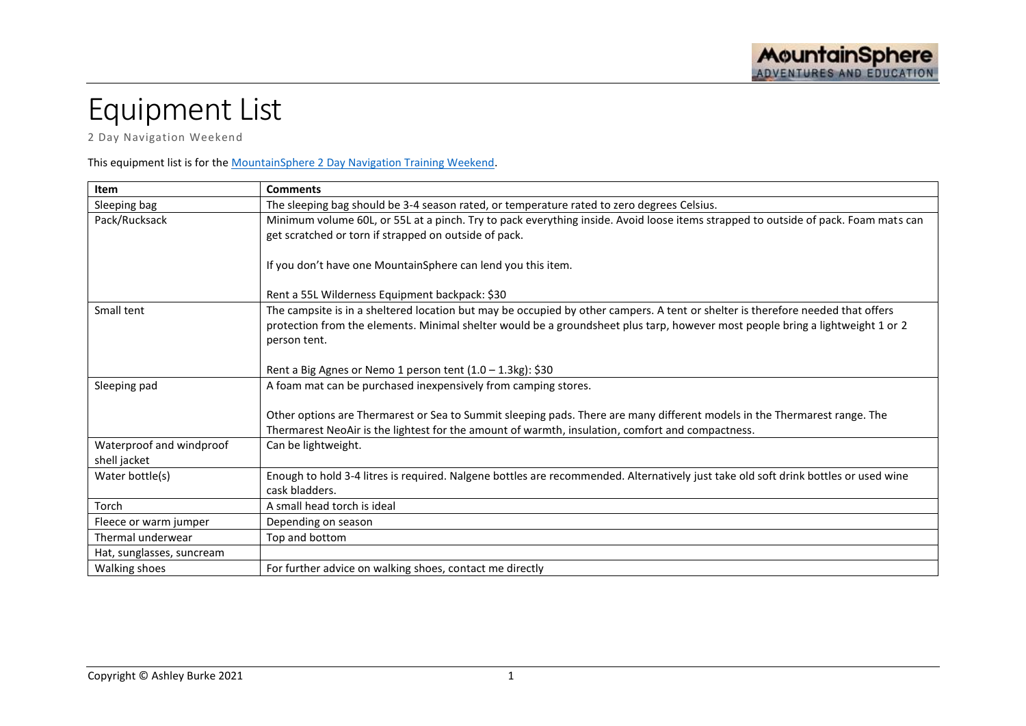## Equipment List

2 Day Navigation Weekend

## This equipment list is for the [MountainSphere 2 Day Navigation Training Weekend.](http://www.mountainsphere.com.au/navigation-training)

| Item                                     | <b>Comments</b>                                                                                                                                                                                                                                                                   |  |
|------------------------------------------|-----------------------------------------------------------------------------------------------------------------------------------------------------------------------------------------------------------------------------------------------------------------------------------|--|
| Sleeping bag                             | The sleeping bag should be 3-4 season rated, or temperature rated to zero degrees Celsius.                                                                                                                                                                                        |  |
| Pack/Rucksack                            | Minimum volume 60L, or 55L at a pinch. Try to pack everything inside. Avoid loose items strapped to outside of pack. Foam mats can<br>get scratched or torn if strapped on outside of pack.                                                                                       |  |
|                                          | If you don't have one MountainSphere can lend you this item.                                                                                                                                                                                                                      |  |
|                                          | Rent a 55L Wilderness Equipment backpack: \$30                                                                                                                                                                                                                                    |  |
| Small tent                               | The campsite is in a sheltered location but may be occupied by other campers. A tent or shelter is therefore needed that offers<br>protection from the elements. Minimal shelter would be a groundsheet plus tarp, however most people bring a lightweight 1 or 2<br>person tent. |  |
|                                          | Rent a Big Agnes or Nemo 1 person tent (1.0 - 1.3kg): \$30                                                                                                                                                                                                                        |  |
| Sleeping pad                             | A foam mat can be purchased inexpensively from camping stores.                                                                                                                                                                                                                    |  |
|                                          | Other options are Thermarest or Sea to Summit sleeping pads. There are many different models in the Thermarest range. The                                                                                                                                                         |  |
|                                          | Thermarest NeoAir is the lightest for the amount of warmth, insulation, comfort and compactness.                                                                                                                                                                                  |  |
| Waterproof and windproof<br>shell jacket | Can be lightweight.                                                                                                                                                                                                                                                               |  |
| Water bottle(s)                          | Enough to hold 3-4 litres is required. Nalgene bottles are recommended. Alternatively just take old soft drink bottles or used wine<br>cask bladders.                                                                                                                             |  |
| Torch                                    | A small head torch is ideal                                                                                                                                                                                                                                                       |  |
| Fleece or warm jumper                    | Depending on season                                                                                                                                                                                                                                                               |  |
| Thermal underwear                        | Top and bottom                                                                                                                                                                                                                                                                    |  |
| Hat, sunglasses, suncream                |                                                                                                                                                                                                                                                                                   |  |
| Walking shoes                            | For further advice on walking shoes, contact me directly                                                                                                                                                                                                                          |  |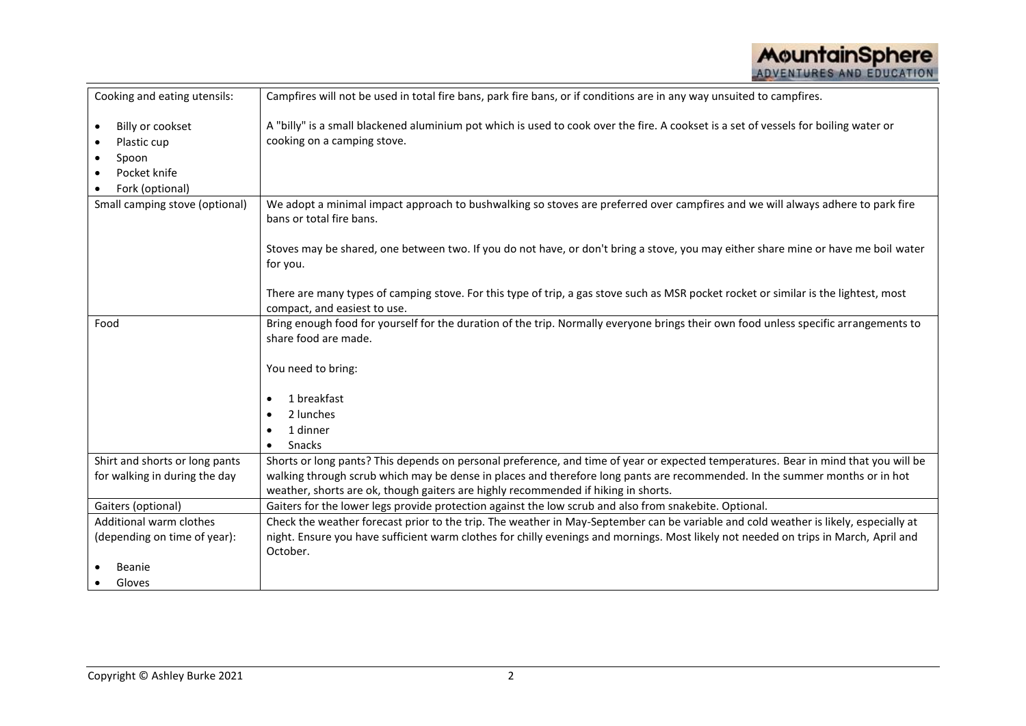| Cooking and eating utensils:                                                             | Campfires will not be used in total fire bans, park fire bans, or if conditions are in any way unsuited to campfires.                                                                                                                                                                                                                                    |  |
|------------------------------------------------------------------------------------------|----------------------------------------------------------------------------------------------------------------------------------------------------------------------------------------------------------------------------------------------------------------------------------------------------------------------------------------------------------|--|
| Billy or cookset<br>$\bullet$<br>Plastic cup<br>Spoon<br>Pocket knife<br>Fork (optional) | A "billy" is a small blackened aluminium pot which is used to cook over the fire. A cookset is a set of vessels for boiling water or<br>cooking on a camping stove.                                                                                                                                                                                      |  |
| Small camping stove (optional)                                                           | We adopt a minimal impact approach to bushwalking so stoves are preferred over campfires and we will always adhere to park fire<br>bans or total fire bans.                                                                                                                                                                                              |  |
|                                                                                          | Stoves may be shared, one between two. If you do not have, or don't bring a stove, you may either share mine or have me boil water<br>for you.                                                                                                                                                                                                           |  |
|                                                                                          | There are many types of camping stove. For this type of trip, a gas stove such as MSR pocket rocket or similar is the lightest, most<br>compact, and easiest to use.                                                                                                                                                                                     |  |
| Food                                                                                     | Bring enough food for yourself for the duration of the trip. Normally everyone brings their own food unless specific arrangements to<br>share food are made.<br>You need to bring:                                                                                                                                                                       |  |
|                                                                                          | 1 breakfast<br>$\bullet$<br>2 lunches<br>1 dinner<br>Snacks<br>$\bullet$                                                                                                                                                                                                                                                                                 |  |
| Shirt and shorts or long pants<br>for walking in during the day                          | Shorts or long pants? This depends on personal preference, and time of year or expected temperatures. Bear in mind that you will be<br>walking through scrub which may be dense in places and therefore long pants are recommended. In the summer months or in hot<br>weather, shorts are ok, though gaiters are highly recommended if hiking in shorts. |  |
| Gaiters (optional)                                                                       | Gaiters for the lower legs provide protection against the low scrub and also from snakebite. Optional.                                                                                                                                                                                                                                                   |  |
| Additional warm clothes                                                                  | Check the weather forecast prior to the trip. The weather in May-September can be variable and cold weather is likely, especially at                                                                                                                                                                                                                     |  |
| (depending on time of year):                                                             | night. Ensure you have sufficient warm clothes for chilly evenings and mornings. Most likely not needed on trips in March, April and<br>October.                                                                                                                                                                                                         |  |
| <b>Beanie</b>                                                                            |                                                                                                                                                                                                                                                                                                                                                          |  |
| Gloves                                                                                   |                                                                                                                                                                                                                                                                                                                                                          |  |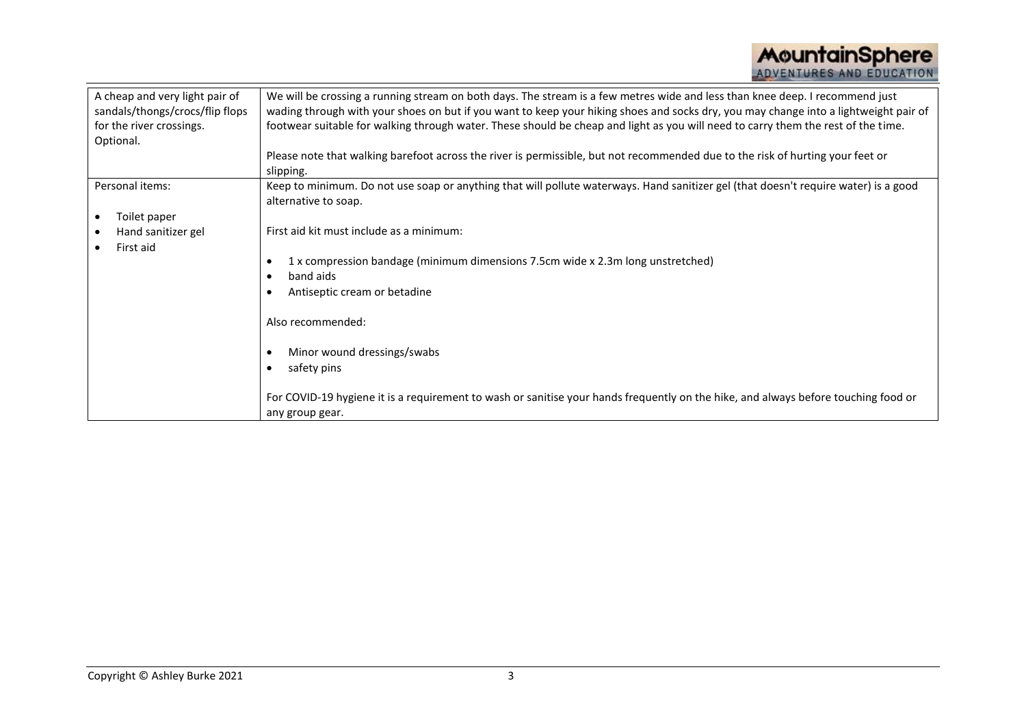| A cheap and very light pair of  | We will be crossing a running stream on both days. The stream is a few metres wide and less than knee deep. I recommend just         |  |  |
|---------------------------------|--------------------------------------------------------------------------------------------------------------------------------------|--|--|
| sandals/thongs/crocs/flip flops | wading through with your shoes on but if you want to keep your hiking shoes and socks dry, you may change into a lightweight pair of |  |  |
| for the river crossings.        | footwear suitable for walking through water. These should be cheap and light as you will need to carry them the rest of the time.    |  |  |
| Optional.                       |                                                                                                                                      |  |  |
|                                 | Please note that walking barefoot across the river is permissible, but not recommended due to the risk of hurting your feet or       |  |  |
|                                 | slipping.                                                                                                                            |  |  |
| Personal items:                 | Keep to minimum. Do not use soap or anything that will pollute waterways. Hand sanitizer gel (that doesn't require water) is a good  |  |  |
|                                 | alternative to soap.                                                                                                                 |  |  |
| Toilet paper                    |                                                                                                                                      |  |  |
| Hand sanitizer gel              | First aid kit must include as a minimum:                                                                                             |  |  |
| First aid                       |                                                                                                                                      |  |  |
|                                 | 1 x compression bandage (minimum dimensions 7.5cm wide x 2.3m long unstretched)                                                      |  |  |
|                                 | band aids                                                                                                                            |  |  |
|                                 | Antiseptic cream or betadine                                                                                                         |  |  |
|                                 |                                                                                                                                      |  |  |
|                                 | Also recommended:                                                                                                                    |  |  |
|                                 |                                                                                                                                      |  |  |
|                                 | Minor wound dressings/swabs                                                                                                          |  |  |
|                                 | safety pins                                                                                                                          |  |  |
|                                 |                                                                                                                                      |  |  |
|                                 | For COVID-19 hygiene it is a requirement to wash or sanitise your hands frequently on the hike, and always before touching food or   |  |  |
|                                 |                                                                                                                                      |  |  |
|                                 | any group gear.                                                                                                                      |  |  |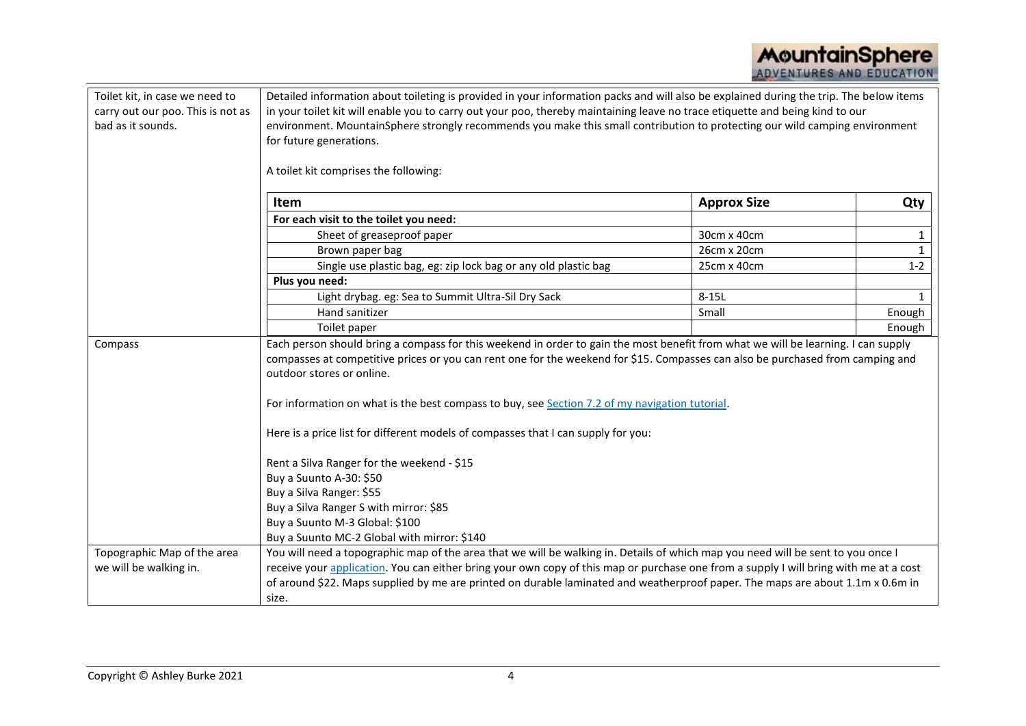| Toilet kit, in case we need to    | Detailed information about toileting is provided in your information packs and will also be explained during the trip. The below items |                    |              |  |  |
|-----------------------------------|----------------------------------------------------------------------------------------------------------------------------------------|--------------------|--------------|--|--|
| carry out our poo. This is not as | in your toilet kit will enable you to carry out your poo, thereby maintaining leave no trace etiquette and being kind to our           |                    |              |  |  |
| bad as it sounds.                 | environment. MountainSphere strongly recommends you make this small contribution to protecting our wild camping environment            |                    |              |  |  |
|                                   | for future generations.                                                                                                                |                    |              |  |  |
|                                   |                                                                                                                                        |                    |              |  |  |
|                                   | A toilet kit comprises the following:                                                                                                  |                    |              |  |  |
|                                   | Item                                                                                                                                   | <b>Approx Size</b> | Qty          |  |  |
|                                   | For each visit to the toilet you need:                                                                                                 |                    |              |  |  |
|                                   | Sheet of greaseproof paper                                                                                                             | 30cm x 40cm        | $\mathbf{1}$ |  |  |
|                                   | Brown paper bag                                                                                                                        | 26cm x 20cm        | $\mathbf{1}$ |  |  |
|                                   | Single use plastic bag, eg: zip lock bag or any old plastic bag                                                                        | 25cm x 40cm        | $1 - 2$      |  |  |
|                                   | Plus you need:                                                                                                                         |                    |              |  |  |
|                                   | Light drybag. eg: Sea to Summit Ultra-Sil Dry Sack                                                                                     | $8-15L$            | $\mathbf{1}$ |  |  |
|                                   | Hand sanitizer                                                                                                                         | Small              | Enough       |  |  |
|                                   | Toilet paper                                                                                                                           |                    | Enough       |  |  |
| Compass                           | Each person should bring a compass for this weekend in order to gain the most benefit from what we will be learning. I can supply      |                    |              |  |  |
|                                   | compasses at competitive prices or you can rent one for the weekend for \$15. Compasses can also be purchased from camping and         |                    |              |  |  |
|                                   | outdoor stores or online.                                                                                                              |                    |              |  |  |
|                                   | For information on what is the best compass to buy, see Section 7.2 of my navigation tutorial.                                         |                    |              |  |  |
|                                   | Here is a price list for different models of compasses that I can supply for you:                                                      |                    |              |  |  |
|                                   | Rent a Silva Ranger for the weekend - \$15                                                                                             |                    |              |  |  |
|                                   | Buy a Suunto A-30: \$50                                                                                                                |                    |              |  |  |
|                                   | Buy a Silva Ranger: \$55                                                                                                               |                    |              |  |  |
|                                   | Buy a Silva Ranger S with mirror: \$85                                                                                                 |                    |              |  |  |
|                                   | Buy a Suunto M-3 Global: \$100                                                                                                         |                    |              |  |  |
|                                   | Buy a Suunto MC-2 Global with mirror: \$140                                                                                            |                    |              |  |  |
| Topographic Map of the area       | You will need a topographic map of the area that we will be walking in. Details of which map you need will be sent to you once I       |                    |              |  |  |
| we will be walking in.            | receive your application. You can either bring your own copy of this map or purchase one from a supply I will bring with me at a cost  |                    |              |  |  |
|                                   | of around \$22. Maps supplied by me are printed on durable laminated and weatherproof paper. The maps are about 1.1m x 0.6m in         |                    |              |  |  |
|                                   | size.                                                                                                                                  |                    |              |  |  |